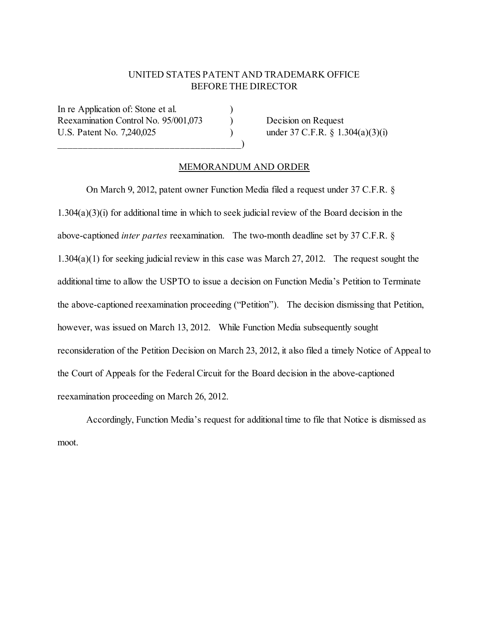## UNITED STATES PATENT AND TRADEMARK OFFICE BEFORE THE DIRECTOR

In re Application of: Stone et al. Reexamination Control No. 95/001,073 Decision on Request U.S. Patent No. 7,240,025 ) under 37 C.F.R. § 1.304(a)(3)(i)

 $\qquad \qquad \qquad \qquad \qquad$ 

## MEMORANDUM AND ORDER

On March 9, 2012, patent owner Function Media filed a request under 37 C.F.R. § 1.304(a)(3)(i) for additional time in which to seek judicial review of the Board decision in the above-captioned *inter partes* reexamination. The two-month deadline set by 37 C.F.R. § 1.304(a)(1) for seeking judicial review in this case was March 27, 2012. The request sought the additional time to allow the USPTO to issue a decision on Function Media's Petition to Terminate the above-captioned reexamination proceeding ("Petition"). The decision dismissing that Petition, however, was issued on March 13, 2012. While Function Media subsequently sought reconsideration of the Petition Decision on March 23, 2012, it also filed a timely Notice of Appeal to the Court of Appeals for the Federal Circuit for the Board decision in the above-captioned reexamination proceeding on March 26, 2012.

Accordingly, Function Media's request for additional time to file that Notice is dismissed as moot.